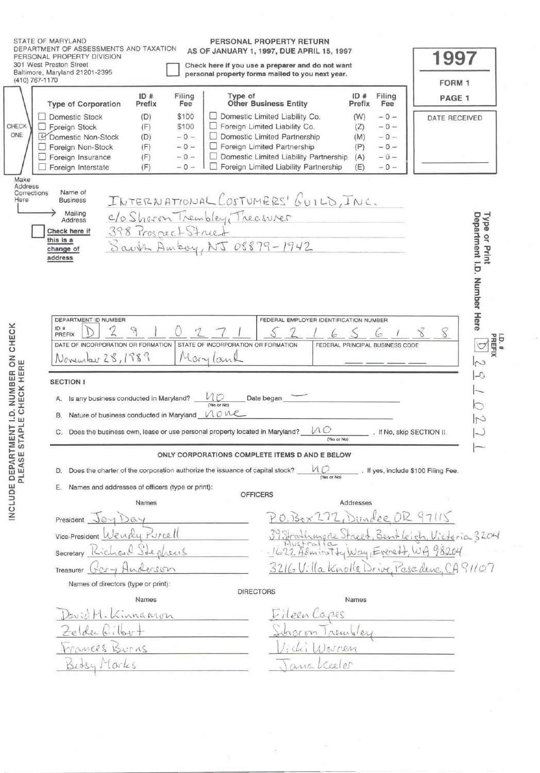| (410) 767-1170                                | STATE OF MARYLAND<br>DEPARTMENT OF ASSESSMENTS AND TAXATION<br>PERSONAL PROPERTY DIVISION<br>301 West Preston Street<br>Baltimore, Maryland 21201-2395                                                                                              |                                                                                              |                                                                               | PERSONAL PROPERTY RETURN<br>AS OF JANUARY 1, 1997, DUE APRIL 15, 1997<br>Check here if you use a preparer and do not want<br>personal property forms mailed to you next year.                                                     |                                        |                                                    | 1997<br>FORM 1                                                 |  |  |  |
|-----------------------------------------------|-----------------------------------------------------------------------------------------------------------------------------------------------------------------------------------------------------------------------------------------------------|----------------------------------------------------------------------------------------------|-------------------------------------------------------------------------------|-----------------------------------------------------------------------------------------------------------------------------------------------------------------------------------------------------------------------------------|----------------------------------------|----------------------------------------------------|----------------------------------------------------------------|--|--|--|
|                                               | <b>Type of Corporation</b>                                                                                                                                                                                                                          | ID#<br>Filing<br>Prefix<br>Fee                                                               | Type of                                                                       | <b>Other Business Entity</b>                                                                                                                                                                                                      | ID#<br>Prefix                          | Filing<br>Fee                                      | PAGE 1                                                         |  |  |  |
| CHECK<br>ONE                                  | Domestic Stock<br>Foreign Stock<br>Domestic Non-Stock<br>Foreign Non-Stock<br>Foreign Insurance<br>Foreign Interstate                                                                                                                               | \$100<br>(D)<br>\$100<br>(F)<br>$-0-$<br>(D)<br>(F)<br>$-0-$<br>(F)<br>$-0-$<br>(F)<br>$-0-$ |                                                                               | $\Box$ Domestic Limited Liability Co.<br>Foreign Limited Liability Co.<br>$\Box$ Domestic Limited Partnership<br>Foreign Limited Partnership<br>Domestic Limited Liability Partnership<br>□ Foreign Limited Liability Partnership | (W)<br>(Z)<br>(M)<br>(P)<br>(A)<br>(E) | $-0-$<br>$-0-$<br>$-0-$<br>$-0-$<br>$-0-$<br>$-0-$ | DATE RECEIVED                                                  |  |  |  |
| Make<br>Address<br>Corrections<br>Here        | Name of<br><b>Business</b><br>Mailing<br>Address<br>Check here if<br>this is a<br>change of<br>address                                                                                                                                              |                                                                                              | C/o Shoron Trembley Treasurer<br>Saub Ambey, NJ 08879-1942                    | INTERNATIONAL COSTUMERS' GUILD, INC.                                                                                                                                                                                              |                                        |                                                    | Department I.D. Number Here<br>Type<br>$\overline{a}$<br>Print |  |  |  |
| <b>D. NUMBER ON CHECK</b><br>CHECK HERE<br>D. | DEPARTMENT ID NUMBER<br>ID#<br>PREFIX<br>DATE OF INCORPORATION OR FORMATION<br>November 28, 1989<br><b>SECTION I</b><br>A. Is any business conducted in Maryland?<br>B. Nature of business conducted in Maryland $\bigwedge \bigcirc \vee \bigcirc$ |                                                                                              | STATE OF INCORPORATION OR FORMATION<br>Maryland<br>$M_{\rm i}$<br>(Yes or No) | FEDERAL EMPLOYER IDENTIFICATION NUMBER<br>Date began                                                                                                                                                                              | FEDERAL PRINCIPAL BUSINESS CODE        |                                                    | LD.#<br>PREFIX<br>$\sim$<br>$\mathcal{L}$                      |  |  |  |
| ш<br>STAPL<br>INCLUDE DEPARTMENT              | C. Does the business own, lease or use personal property located in Maryland?                                                                                                                                                                       |                                                                                              |                                                                               | 100                                                                                                                                                                                                                               | (Yes or No)                            | . If No, skip SECTION II.                          | N                                                              |  |  |  |
|                                               |                                                                                                                                                                                                                                                     | ONLY CORPORATIONS COMPLETE ITEMS D AND E BELOW                                               |                                                                               |                                                                                                                                                                                                                                   |                                        |                                                    |                                                                |  |  |  |
| PLEASE                                        | Does the charter of the corporation authorize the issuance of capital stock?<br>D.                                                                                                                                                                  |                                                                                              |                                                                               | (Yes or No)                                                                                                                                                                                                                       |                                        |                                                    | . If yes, include \$100 Filing Fee.                            |  |  |  |
|                                               | Names and addresses of officers (type or print):                                                                                                                                                                                                    |                                                                                              |                                                                               |                                                                                                                                                                                                                                   |                                        |                                                    |                                                                |  |  |  |
|                                               |                                                                                                                                                                                                                                                     | Names                                                                                        |                                                                               | <b>OFFICERS</b>                                                                                                                                                                                                                   | Addresses                              |                                                    |                                                                |  |  |  |
|                                               | President                                                                                                                                                                                                                                           |                                                                                              |                                                                               | P.O.Box 272, Dundee OR 97115                                                                                                                                                                                                      |                                        |                                                    |                                                                |  |  |  |
|                                               | Vice-President                                                                                                                                                                                                                                      | Purcell                                                                                      |                                                                               |                                                                                                                                                                                                                                   |                                        |                                                    | 39 Strathmore Street, Bentleich, Victoria 3204                 |  |  |  |
|                                               | Secretary                                                                                                                                                                                                                                           | rens                                                                                         |                                                                               | 1622 Admirat by Way, Evered                                                                                                                                                                                                       |                                        |                                                    | WA 98204                                                       |  |  |  |
|                                               | Treasurer                                                                                                                                                                                                                                           | 1500                                                                                         |                                                                               |                                                                                                                                                                                                                                   |                                        |                                                    | 3216 Uilla Knolle Drive, Pascilence, CA91107                   |  |  |  |
|                                               | Names of directors (type or print):                                                                                                                                                                                                                 |                                                                                              |                                                                               |                                                                                                                                                                                                                                   |                                        |                                                    |                                                                |  |  |  |
|                                               |                                                                                                                                                                                                                                                     | Names                                                                                        | <b>DIRECTORS</b>                                                              |                                                                                                                                                                                                                                   | Names                                  |                                                    |                                                                |  |  |  |
|                                               | buil M. Kinnanion<br>$4.160 +$<br>MURRS ISVIAS<br>Bedsy Marks                                                                                                                                                                                       |                                                                                              |                                                                               | Fileen<br>ana                                                                                                                                                                                                                     | remble<br>15024<br>Veeler              |                                                    |                                                                |  |  |  |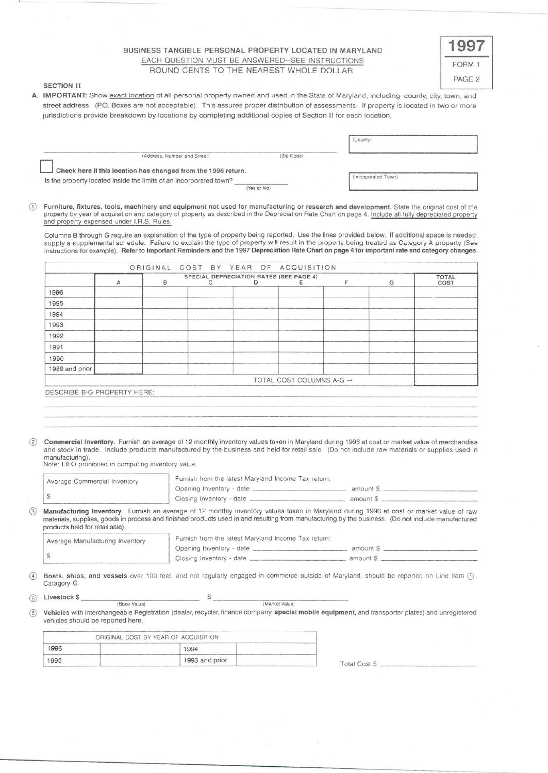# BUSINESS TANGIBLE PERSONAL PROPERTY LOCATED IN MARYLAND EACH QUESTION MUST BE ANSWERED-SEE INSTRUCTIONS ROUND CENTS TO THE NEAREST WHOLE DOLLAR

| ORM <sub>1</sub>  |
|-------------------|
| PAGE <sub>2</sub> |

## SECTION II

A. IMPORTANT: Show exact location of all personal property owned and used in the State of Maryland, including county, city, town, and street address. (P.O. Boxes are not acceptable). This assures proper distribution of assessments. If property is located in two or more jurisdictions provide breakdown by locations by completing additional copies of Section II for each location.

|                                                                    |            | (County)            |  |
|--------------------------------------------------------------------|------------|---------------------|--|
| (Address, Number and Street)                                       | (Zip Code) |                     |  |
| Check here if this location has changed from the 1996 return.      |            |                     |  |
| Is the property located inside the limits of an incorporated town? |            | (Incorporated Town) |  |

CD Furniture, fixtures, tools, machinery and equipment not used for manufacturing or research and development. State the original cost of the property by year of acquisition and category of property as described in the Depreciation Rate Chart on page 4. Include all fully depreciated property and property expensed under l.R.S. Rules.

Columns B through G require an explanation of the type of property being reported . Use the lines provided below. If additional space is needed, supply a supplemental schedule. Failure to explain the type of property will result in the property being treated as Category A property (See instructions for example). Refer to Important Reminders and the 1997 Depreciation Rate Chart on page 4 for important rate and category changes.

|                             | $\mathsf{A}$ | в | C | SPECIAL DEPRECIATION RATES (SEE PAGE 4)<br>D | Е                                    | F | G | <b>TOTAL</b><br>COST |
|-----------------------------|--------------|---|---|----------------------------------------------|--------------------------------------|---|---|----------------------|
| 1996                        |              |   |   |                                              |                                      |   |   |                      |
| 1995                        |              |   |   |                                              |                                      |   |   |                      |
| 1994                        |              |   |   |                                              |                                      |   |   |                      |
| 1993                        |              |   |   |                                              |                                      |   |   |                      |
| 1992                        |              |   |   |                                              |                                      |   |   |                      |
| 1991                        |              |   |   |                                              |                                      |   |   |                      |
| 1990                        |              |   |   |                                              |                                      |   |   |                      |
| 1989 and prior              |              |   |   |                                              |                                      |   |   |                      |
|                             |              |   |   |                                              | TOTAL COST COLUMNS A-G $\rightarrow$ |   |   |                      |
| DESCRIBE B-G PROPERTY HERE: |              |   |   |                                              |                                      |   |   |                      |

® Commercial Inventory. Furnish an average of 12 monthly inventory values taken in Maryland during 1996 at cost or market value of merchandise and stock in trade. Include products manufactured by the business and held for retail sale. (Do not include raw materials or supplies used in manufacturing).

Note: LIFO prohibited in computing inventory value.

| Average Commercial Inventory<br>\$ | Furnish from the latest Maryland Income Tax return: |                                                                                                                                                    |
|------------------------------------|-----------------------------------------------------|----------------------------------------------------------------------------------------------------------------------------------------------------|
|                                    |                                                     |                                                                                                                                                    |
|                                    |                                                     | Manufacturing Inventory. Furnish an average of 12 monthly inventory values taken in Maryland during 1996 at cost or market value of raw            |
| products held for retail sale).    |                                                     | materials, supplies, goods in process and finished products used in and resulting from manufacturing by the business. (Do not include manufactured |
|                                    | Furnish from the latest Maryland Income Tax return: |                                                                                                                                                    |
| Average Manufacturing Inventory    |                                                     |                                                                                                                                                    |

**4** Boats, ships, and vessels over 100 feet, and not regularly engaged in commerce outside of Maryland, should be reported on Line Item  $\textcircled{1}$ .<br>Catagory G.

 $(5)$  Livestock  $$$ (Book Value) (Markel Value)

® Vehicles with Interchangeable Registration (dealer, recycler, finance company, special mobile equipment, and transporter plates) and unregistered vehicles should be reported here.

| ORIGINAL COST BY YEAR OF ACQUISITION |                  |  |  |  |
|--------------------------------------|------------------|--|--|--|
| 1996                                 | 100 <sub>4</sub> |  |  |  |
| 1995                                 | 1993 and prior   |  |  |  |

Total Cost \$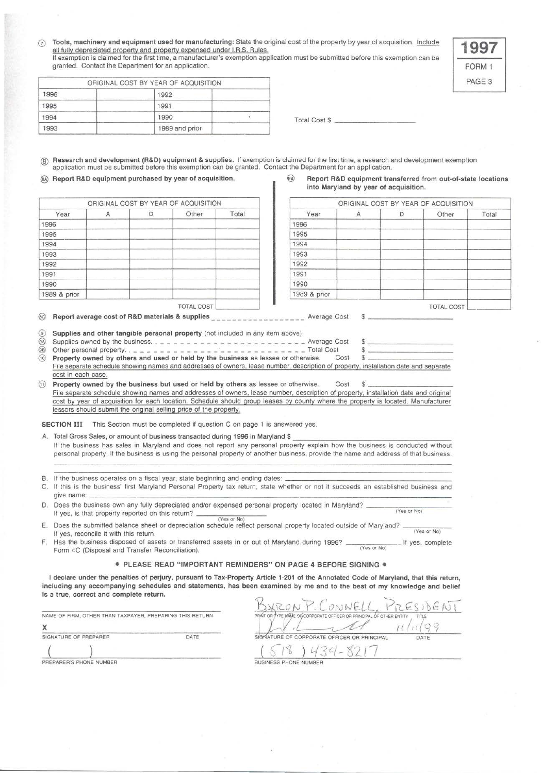( $\overline{c}$ ) Tools, machinery and equipment used for manufacturing: State the original cost of the property by year of acquisition. Include all fully depreciated property and property expensed under I.R.S. Rules. If exemption is claimed for perty and property expensed under I.R.S. Rules.<br>all fully depreciated property and property expensed under I.R.S. Rules.<br>If exemption is claimed for the first time, a manufacturer's exemption ap

granted. Contact the Department for an application.

|      | ORIGINAL COST BY YEAR OF ACQUISITION |  |                      |  |
|------|--------------------------------------|--|----------------------|--|
| 1996 | 1992                                 |  |                      |  |
| 1995 | 1991                                 |  |                      |  |
| 1994 | 1990                                 |  | <b>Total Cost \$</b> |  |
| 1993 | 1989 and prior                       |  |                      |  |

@ Research and development (R&D) equipment & supplies. If exemption is claimed for the first time, a research and development exemption application must be submitted before this exemption can be granted. Contact the Department for an application.

| ORIGINAL COST BY YEAR OF ACQUISITION |  |  |            |       |              | ORIGINAL COST BY YEAR OF ACQUIS |          |
|--------------------------------------|--|--|------------|-------|--------------|---------------------------------|----------|
| Year                                 |  |  | Other      | Total | Year         |                                 | Other    |
| 1996                                 |  |  |            |       | 1996         |                                 |          |
| 1995                                 |  |  |            |       | 1995         |                                 |          |
| 1994                                 |  |  |            |       | 1994         |                                 |          |
| 1993                                 |  |  |            |       | 1993         |                                 |          |
| 1992                                 |  |  |            |       | 1992         |                                 |          |
| 1991                                 |  |  |            |       | 1991         |                                 |          |
| 1990                                 |  |  |            |       | 1990         |                                 |          |
| 1989 & prior                         |  |  |            |       | 1989 & prior |                                 |          |
|                                      |  |  | TOTAL COST |       |              |                                 | TOTAL OF |

## @ Report R&D equipment purchased by year of acquisition. @ Report R&D equipment transferred from out-of-state locations into Maryland by year of acquisition.

| Other | Total | Year         |  |       |       |
|-------|-------|--------------|--|-------|-------|
|       |       |              |  | Other | Total |
|       |       | 1996         |  |       |       |
|       |       | 1995         |  |       |       |
|       |       | 1994         |  |       |       |
|       |       | 1993         |  |       |       |
|       |       | 1992         |  |       |       |
|       |       | 1991         |  |       |       |
|       |       | 1990         |  |       |       |
|       |       | 1989 & prior |  |       |       |
|       |       |              |  |       |       |

@ Report average cost of R&D materials & supplies \_\_\_\_\_\_\_\_\_\_\_\_\_\_\_\_\_\_\_\_ Average Cost \$

|      | (9) Supplies and other tangible personal property (not included in any item above).                                                 |  |
|------|-------------------------------------------------------------------------------------------------------------------------------------|--|
|      |                                                                                                                                     |  |
|      |                                                                                                                                     |  |
| (10) | <b>Property owned by others and used or held by the business</b> as lessee or otherwise. Cost \$                                    |  |
|      | File separate schedule showing names and addresses of owners, lease number, description of property, installation date and separate |  |

cost in each case.

 $\textcircled{\tiny{1}}$  Property owned by the business but used or held by others as lessee or otherwise. Cost \$ File separate schedule showing names and addresses of owners, lease number, description of property, installation date and original cost by year of acquisition for each location. Schedule should group leases by county where the property is located. Manufacturer lessors should submit the original selling price of the property.

SECTION III This Section must be completed if question C on page 1 is answered yes.

A. Total Gross Sales, or amount of business transacted during 1996 in Maryland \$

If the business has sales in Maryland and does not report any personal property explain how the business is conducted without peisonal property. If the business is using the personal property of another business. provide the name and address of that business.

- B. If the business operates on a fiscal year, state beginning and ending dates:
- C. If this is the business' first Maryland Personal Property tax return, state whether or not it succeeds an established business and give name:  $\frac{1}{2}$
- give harmer.<br>D. Does the business own any fully depreciated and/or expensed personal property located in Maryland? If yes , is that property reported on this return? \_\_\_ \_\_\_\_\_ \_ (Yes or No) (Yes or No)
- E. Does the submitted balance sheet or depreciation schedule reflect personal property located outside of Maryland?  $\frac{1}{(Yes or No)}$ If yes, reconcile it with this return.

F. Has the business disposed of assets or transferred assets in or out of Maryland during 1996? \_\_\_\_\_\_\_ If yes , complete Form 4C (Disposal and Transfer Reconciliation).

• PLEASE READ "IMPORTANT REMINDERS" ON PAGE 4 BEFORE SIGNING •

I declare under the penalties of perjury, pursuant to Tax-Property Article 1-201 of the Annotated Code of Maryland, that this return, including any accompanying schedules and statements, has been examined by me and to the best of my knowledge and belief is a true, correct and complete return.

|  |  |  | NAME OF FIRM, OTHER THAN TAXPAYER, PREPARING THIS RETURN. |
|--|--|--|-----------------------------------------------------------|
|  |  |  |                                                           |
|  |  |  |                                                           |

| and the state of the common the collection of the state |                       |      |  |  |  |
|---------------------------------------------------------|-----------------------|------|--|--|--|
|                                                         | SIGNATURE OF PREPARER | DATE |  |  |  |
|                                                         |                       |      |  |  |  |

| is a true, correct and complete return.<br>NAME OF FIRM, OTHER THAN TAXPAYER, PREPARING THIS RETURN. |      | ONNEL<br>OR TYPE WAME OF CORPORATE OFFICER OR PRINCIPAL OF OTHER ENTITY<br>TITLE |      |
|------------------------------------------------------------------------------------------------------|------|----------------------------------------------------------------------------------|------|
|                                                                                                      |      |                                                                                  |      |
| SIGNATURE OF PREPARER                                                                                | DATE | SIGNATURE OF CORPORATE OFFICER OR PRINCIPAL                                      | DATE |
|                                                                                                      |      |                                                                                  |      |
| PREPARER'S PHONE NUMBER                                                                              |      | BUSINESS PHONE NUMBER                                                            |      |

TOTAL COST  $\Box$ 

FORM 1 PAGE<sub>3</sub>